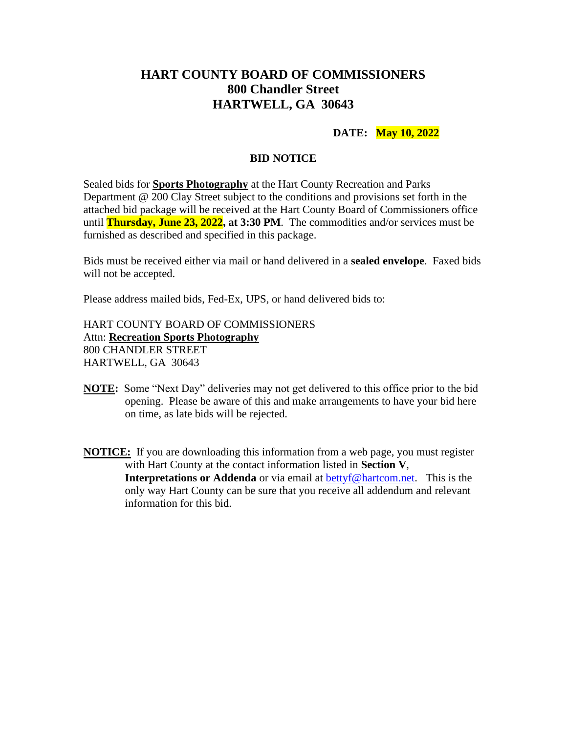## **HART COUNTY BOARD OF COMMISSIONERS 800 Chandler Street HARTWELL, GA 30643**

### **DATE: May 10, 2022**

#### **BID NOTICE**

Sealed bids for **Sports Photography** at the Hart County Recreation and Parks Department @ 200 Clay Street subject to the conditions and provisions set forth in the attached bid package will be received at the Hart County Board of Commissioners office until **Thursday, June 23, 2022, at 3:30 PM**. The commodities and/or services must be furnished as described and specified in this package.

Bids must be received either via mail or hand delivered in a **sealed envelope**. Faxed bids will not be accepted.

Please address mailed bids, Fed-Ex, UPS, or hand delivered bids to:

HART COUNTY BOARD OF COMMISSIONERS Attn: **Recreation Sports Photography** 800 CHANDLER STREET HARTWELL, GA 30643

- **NOTE:** Some "Next Day" deliveries may not get delivered to this office prior to the bid opening. Please be aware of this and make arrangements to have your bid here on time, as late bids will be rejected.
- **NOTICE:** If you are downloading this information from a web page, you must register with Hart County at the contact information listed in **Section V**, **Interpretations or Addenda** or via email at [bettyf@hartcom.net.](mailto:bettyf@hartcom.net) This is the only way Hart County can be sure that you receive all addendum and relevant information for this bid.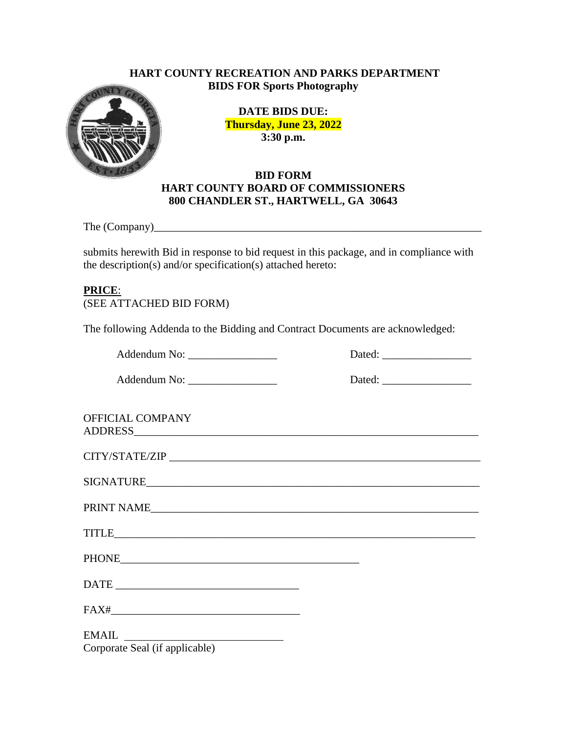### **HART COUNTY RECREATION AND PARKS DEPARTMENT BIDS FOR Sports Photography**



**DATE BIDS DUE: Thursday, June 23, 2022 3:30 p.m.**

## **BID FORM HART COUNTY BOARD OF COMMISSIONERS 800 CHANDLER ST., HARTWELL, GA 30643**

The (Company)\_\_\_\_\_\_\_\_\_\_\_\_\_\_\_\_\_\_\_\_\_\_\_\_\_\_\_\_\_\_\_\_\_\_\_\_\_\_\_\_\_\_\_\_\_\_\_\_\_\_\_\_\_\_\_\_\_\_\_

submits herewith Bid in response to bid request in this package, and in compliance with the description(s) and/or specification(s) attached hereto:

## **PRICE**:

(SEE ATTACHED BID FORM)

The following Addenda to the Bidding and Contract Documents are acknowledged:

Addendum No: \_\_\_\_\_\_\_\_\_\_\_\_\_\_\_\_ Dated: \_\_\_\_\_\_\_\_\_\_\_\_\_\_\_\_

Addendum No: \_\_\_\_\_\_\_\_\_\_\_\_\_\_\_\_ Dated: \_\_\_\_\_\_\_\_\_\_\_\_\_\_\_\_

| Jaicu. |  |  |  |
|--------|--|--|--|
|        |  |  |  |
|        |  |  |  |
|        |  |  |  |

OFFICIAL COMPANY ADDRESS\_\_\_\_\_\_\_\_\_\_\_\_\_\_\_\_\_\_\_\_\_\_\_\_\_\_\_\_\_\_\_\_\_\_\_\_\_\_\_\_\_\_\_\_\_\_\_\_\_\_\_\_\_\_\_\_\_\_\_\_\_\_

| CITY/STATE/ZIP   |  |  |
|------------------|--|--|
|                  |  |  |
| <b>SIGNATURE</b> |  |  |

| PRINT NAME |  |  |
|------------|--|--|

TITLE  $\qquad \qquad \qquad \qquad \qquad$ 

PHONE THAT IS A REPORT OF THE SET OF THE SET OF THE SET OF THE SET OF THE SET OF THE SET OF THE SET OF THE SET OF THE SET OF THE SET OF THE SET OF THE SET OF THE SET OF THE SET OF THE SET OF THE SET OF THE SET OF THE SET O

DATE \_\_\_\_\_\_\_\_\_\_\_\_\_\_\_\_\_\_\_\_\_\_\_\_\_\_\_\_\_\_\_\_\_

FAX#

EMAIL Corporate Seal (if applicable)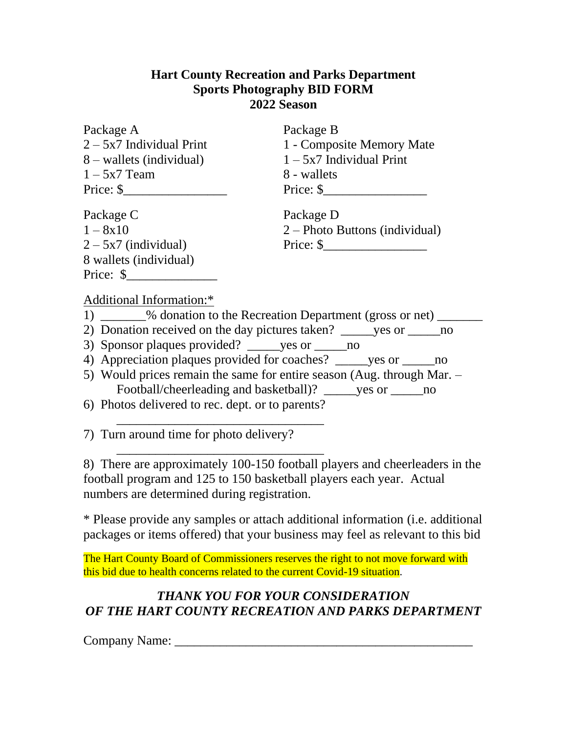## **Hart County Recreation and Parks Department Sports Photography BID FORM 2022 Season**

| Package A                   | Package B                      |
|-----------------------------|--------------------------------|
| $2 - 5x7$ Individual Print  | 1 - Composite Memory Mate      |
| 8 – wallets (individual)    | $1 - 5x7$ Individual Print     |
| $1 - 5x7$ Team              | 8 - wallets                    |
| Price: $\frac{\sqrt{2}}{2}$ | Price: $\frac{\sqrt{2}}{2}$    |
| Package C                   | Package D                      |
| $1 - 8x10$                  | 2 – Photo Buttons (individual) |
| $2 - 5x7$ (individual)      | $Price:$ \$                    |
| 8 wallets (individual)      |                                |
| Price: $\frac{1}{2}$        |                                |
| Additional Information:*    |                                |
|                             |                                |

- 1) \_\_\_\_\_\_\_ % donation to the Recreation Department (gross or net) \_\_\_\_\_\_\_
- 2) Donation received on the day pictures taken? \_\_\_\_\_yes or \_\_\_\_\_no
- 3) Sponsor plaques provided? \_\_\_\_\_yes or \_\_\_\_\_no

\_\_\_\_\_\_\_\_\_\_\_\_\_\_\_\_\_\_\_\_\_\_\_\_\_\_\_\_\_\_\_\_

\_\_\_\_\_\_\_\_\_\_\_\_\_\_\_\_\_\_\_\_\_\_\_\_\_\_\_\_\_\_\_\_

- 4) Appreciation plaques provided for coaches? ves or ho
- 5) Would prices remain the same for entire season (Aug. through Mar. Football/cheerleading and basketball)? ves or \_\_\_\_\_\_\_\_\_\_\_\_\_\_\_\_\_\_\_\_\_\_\_\_\_\_\_\_\_\_\_\_\_\_
- 6) Photos delivered to rec. dept. or to parents?

7) Turn around time for photo delivery?

8) There are approximately 100-150 football players and cheerleaders in the football program and 125 to 150 basketball players each year. Actual numbers are determined during registration.

\* Please provide any samples or attach additional information (i.e. additional packages or items offered) that your business may feel as relevant to this bid

The Hart County Board of Commissioners reserves the right to not move forward with this bid due to health concerns related to the current Covid-19 situation.

# *THANK YOU FOR YOUR CONSIDERATION OF THE HART COUNTY RECREATION AND PARKS DEPARTMENT*

Company Name: \_\_\_\_\_\_\_\_\_\_\_\_\_\_\_\_\_\_\_\_\_\_\_\_\_\_\_\_\_\_\_\_\_\_\_\_\_\_\_\_\_\_\_\_\_\_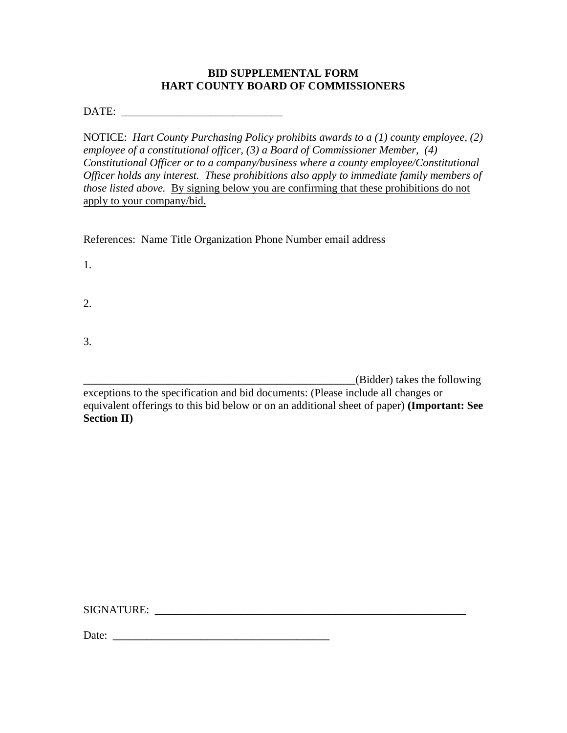#### **BID SUPPLEMENTAL FORM HART COUNTY BOARD OF COMMISSIONERS**

DATE:

NOTICE: *Hart County Purchasing Policy prohibits awards to a (1) county employee, (2) employee of a constitutional officer, (3) a Board of Commissioner Member, (4) Constitutional Officer or to a company/business where a county employee/Constitutional Officer holds any interest. These prohibitions also apply to immediate family members of those listed above.* By signing below you are confirming that these prohibitions do not apply to your company/bid.

References: Name Title Organization Phone Number email address

1.

2.

3.

\_\_\_\_\_\_\_\_\_\_\_\_\_\_\_\_\_\_\_\_\_\_\_\_\_\_\_\_\_\_\_\_\_\_\_\_\_\_\_\_\_\_\_\_\_\_\_\_\_(Bidder) takes the following

exceptions to the specification and bid documents: (Please include all changes or equivalent offerings to this bid below or on an additional sheet of paper) **(Important: See Section II)**

SIGNATURE: \_\_\_\_\_\_\_\_\_\_\_\_\_\_\_\_\_\_\_\_\_\_\_\_\_\_\_\_\_\_\_\_\_\_\_\_\_\_\_\_\_\_\_\_\_\_\_\_\_\_\_\_\_\_\_\_

Date: **\_\_\_\_\_\_\_\_\_\_\_\_\_\_\_\_\_\_\_\_\_\_\_\_\_\_\_\_\_\_\_\_\_\_\_\_\_\_\_**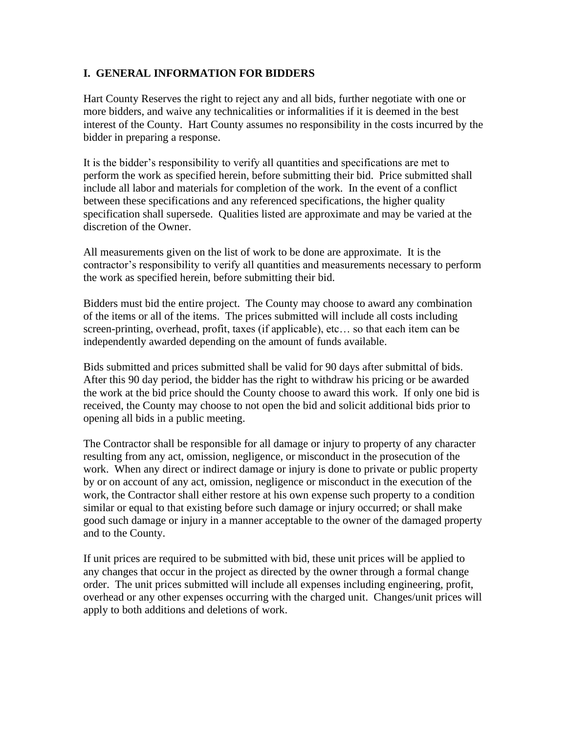### **I. GENERAL INFORMATION FOR BIDDERS**

Hart County Reserves the right to reject any and all bids, further negotiate with one or more bidders, and waive any technicalities or informalities if it is deemed in the best interest of the County. Hart County assumes no responsibility in the costs incurred by the bidder in preparing a response.

It is the bidder's responsibility to verify all quantities and specifications are met to perform the work as specified herein, before submitting their bid. Price submitted shall include all labor and materials for completion of the work. In the event of a conflict between these specifications and any referenced specifications, the higher quality specification shall supersede. Qualities listed are approximate and may be varied at the discretion of the Owner.

All measurements given on the list of work to be done are approximate. It is the contractor's responsibility to verify all quantities and measurements necessary to perform the work as specified herein, before submitting their bid.

Bidders must bid the entire project. The County may choose to award any combination of the items or all of the items. The prices submitted will include all costs including screen-printing, overhead, profit, taxes (if applicable), etc… so that each item can be independently awarded depending on the amount of funds available.

Bids submitted and prices submitted shall be valid for 90 days after submittal of bids. After this 90 day period, the bidder has the right to withdraw his pricing or be awarded the work at the bid price should the County choose to award this work. If only one bid is received, the County may choose to not open the bid and solicit additional bids prior to opening all bids in a public meeting.

The Contractor shall be responsible for all damage or injury to property of any character resulting from any act, omission, negligence, or misconduct in the prosecution of the work. When any direct or indirect damage or injury is done to private or public property by or on account of any act, omission, negligence or misconduct in the execution of the work, the Contractor shall either restore at his own expense such property to a condition similar or equal to that existing before such damage or injury occurred; or shall make good such damage or injury in a manner acceptable to the owner of the damaged property and to the County.

If unit prices are required to be submitted with bid, these unit prices will be applied to any changes that occur in the project as directed by the owner through a formal change order. The unit prices submitted will include all expenses including engineering, profit, overhead or any other expenses occurring with the charged unit. Changes/unit prices will apply to both additions and deletions of work.